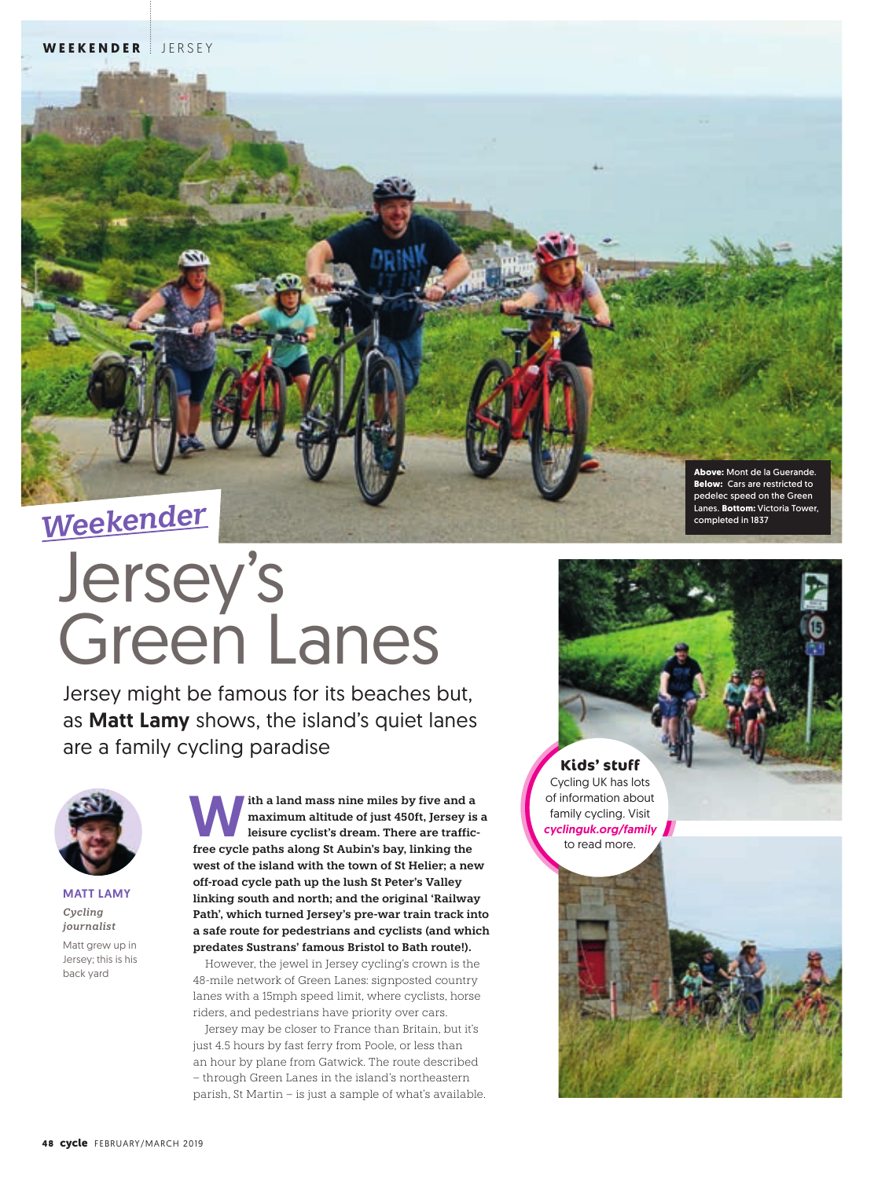

# Jersey's Green Lanes

Jersey might be famous for its beaches but, as **Matt Lamy** shows, the island's quiet lanes are a family cycling paradise



**MATT LAMY** *Cycling journalist* Matt grew up in Jersey; this is his back yard

ith a land mass nine miles by five and a **maximum altitude of just 450ft, Jersey is a leisure cyclist's dream. There are trafficfree cycle paths along St Aubin's bay, linking the west of the island with the town of St Helier; a new off-road cycle path up the lush St Peter's Valley linking south and north; and the original 'Railway Path', which turned Jersey's pre-war train track into a safe route for pedestrians and cyclists (and which predates Sustrans' famous Bristol to Bath route!).** 

 However, the jewel in Jersey cycling's crown is the 48-mile network of Green Lanes: signposted country lanes with a 15mph speed limit, where cyclists, horse riders, and pedestrians have priority over cars.

 Jersey may be closer to France than Britain, but it's just 4.5 hours by fast ferry from Poole, or less than an hour by plane from Gatwick. The route described – through Green Lanes in the island's northeastern parish, St Martin – is just a sample of what's available.